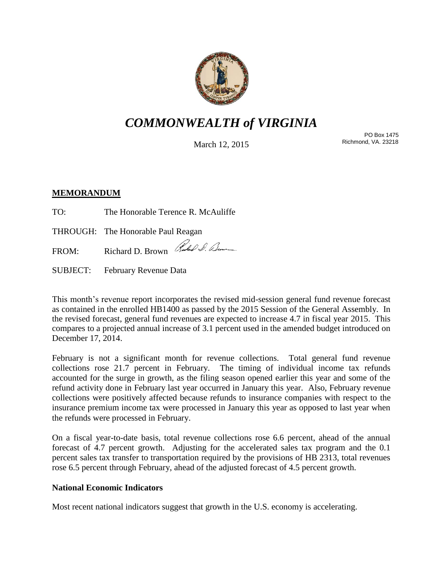

# *COMMONWEALTH of VIRGINIA*

March 12, 2015

PO Box 1475 Richmond, VA. 23218

## **MEMORANDUM**

TO: The Honorable Terence R. McAuliffe

THROUGH: The Honorable Paul Reagan

FROM: Richard D. Brown Rules & Bene

SUBJECT: February Revenue Data

This month's revenue report incorporates the revised mid-session general fund revenue forecast as contained in the enrolled HB1400 as passed by the 2015 Session of the General Assembly. In the revised forecast, general fund revenues are expected to increase 4.7 in fiscal year 2015. This compares to a projected annual increase of 3.1 percent used in the amended budget introduced on December 17, 2014.

February is not a significant month for revenue collections. Total general fund revenue collections rose 21.7 percent in February. The timing of individual income tax refunds accounted for the surge in growth, as the filing season opened earlier this year and some of the refund activity done in February last year occurred in January this year. Also, February revenue collections were positively affected because refunds to insurance companies with respect to the insurance premium income tax were processed in January this year as opposed to last year when the refunds were processed in February.

On a fiscal year-to-date basis, total revenue collections rose 6.6 percent, ahead of the annual forecast of 4.7 percent growth. Adjusting for the accelerated sales tax program and the 0.1 percent sales tax transfer to transportation required by the provisions of HB 2313, total revenues rose 6.5 percent through February, ahead of the adjusted forecast of 4.5 percent growth.

## **National Economic Indicators**

Most recent national indicators suggest that growth in the U.S. economy is accelerating.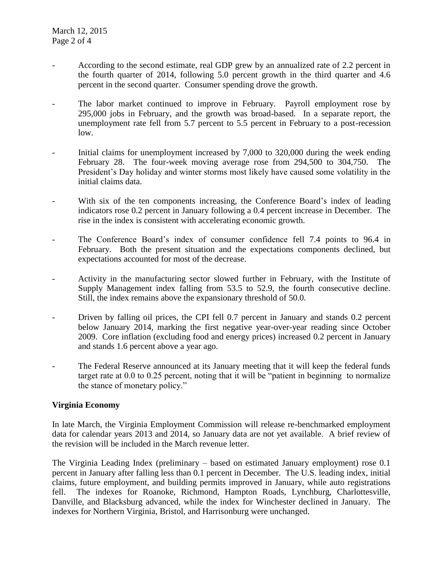- According to the second estimate, real GDP grew by an annualized rate of 2.2 percent in the fourth quarter of 2014, following 5.0 percent growth in the third quarter and 4.6 percent in the second quarter. Consumer spending drove the growth.
- The labor market continued to improve in February. Payroll employment rose by 295,000 jobs in February, and the growth was broad-based. In a separate report, the unemployment rate fell from 5.7 percent to 5.5 percent in February to a post-recession low.
- Initial claims for unemployment increased by 7,000 to 320,000 during the week ending February 28. The four-week moving average rose from 294,500 to 304,750. The President's Day holiday and winter storms most likely have caused some volatility in the initial claims data.
- With six of the ten components increasing, the Conference Board's index of leading indicators rose 0.2 percent in January following a 0.4 percent increase in December. The rise in the index is consistent with accelerating economic growth.
- The Conference Board's index of consumer confidence fell 7.4 points to 96.4 in February. Both the present situation and the expectations components declined, but expectations accounted for most of the decrease.
- Activity in the manufacturing sector slowed further in February, with the Institute of Supply Management index falling from 53.5 to 52.9, the fourth consecutive decline. Still, the index remains above the expansionary threshold of 50.0.
- Driven by falling oil prices, the CPI fell 0.7 percent in January and stands 0.2 percent below January 2014, marking the first negative year-over-year reading since October 2009. Core inflation (excluding food and energy prices) increased 0.2 percent in January and stands 1.6 percent above a year ago.
- The Federal Reserve announced at its January meeting that it will keep the federal funds target rate at 0.0 to 0.25 percent, noting that it will be "patient in beginning to normalize the stance of monetary policy."

## **Virginia Economy**

In late March, the Virginia Employment Commission will release re-benchmarked employment data for calendar years 2013 and 2014, so January data are not yet available. A brief review of the revision will be included in the March revenue letter.

The Virginia Leading Index (preliminary – based on estimated January employment) rose 0.1 percent in January after falling less than 0.1 percent in December. The U.S. leading index, initial claims, future employment, and building permits improved in January, while auto registrations fell. The indexes for Roanoke, Richmond, Hampton Roads, Lynchburg, Charlottesville, Danville, and Blacksburg advanced, while the index for Winchester declined in January. The indexes for Northern Virginia, Bristol, and Harrisonburg were unchanged.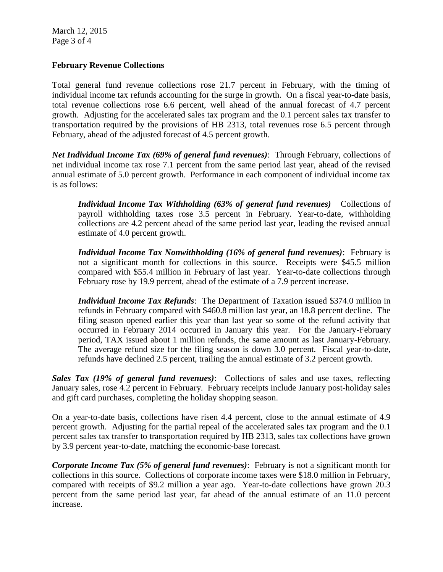March 12, 2015 Page 3 of 4

#### **February Revenue Collections**

Total general fund revenue collections rose 21.7 percent in February, with the timing of individual income tax refunds accounting for the surge in growth. On a fiscal year-to-date basis, total revenue collections rose 6.6 percent, well ahead of the annual forecast of 4.7 percent growth. Adjusting for the accelerated sales tax program and the 0.1 percent sales tax transfer to transportation required by the provisions of HB 2313, total revenues rose 6.5 percent through February, ahead of the adjusted forecast of 4.5 percent growth.

*Net Individual Income Tax (69% of general fund revenues)*: Through February, collections of net individual income tax rose 7.1 percent from the same period last year, ahead of the revised annual estimate of 5.0 percent growth. Performance in each component of individual income tax is as follows:

*Individual Income Tax Withholding (63% of general fund revenues)* Collections of payroll withholding taxes rose 3.5 percent in February. Year-to-date, withholding collections are 4.2 percent ahead of the same period last year, leading the revised annual estimate of 4.0 percent growth.

*Individual Income Tax Nonwithholding (16% of general fund revenues)*: February is not a significant month for collections in this source. Receipts were \$45.5 million compared with \$55.4 million in February of last year. Year-to-date collections through February rose by 19.9 percent, ahead of the estimate of a 7.9 percent increase.

*Individual Income Tax Refunds*: The Department of Taxation issued \$374.0 million in refunds in February compared with \$460.8 million last year, an 18.8 percent decline. The filing season opened earlier this year than last year so some of the refund activity that occurred in February 2014 occurred in January this year. For the January-February period, TAX issued about 1 million refunds, the same amount as last January-February. The average refund size for the filing season is down 3.0 percent. Fiscal year-to-date, refunds have declined 2.5 percent, trailing the annual estimate of 3.2 percent growth.

*Sales Tax (19% of general fund revenues)*: Collections of sales and use taxes, reflecting January sales, rose 4.2 percent in February. February receipts include January post-holiday sales and gift card purchases, completing the holiday shopping season.

On a year-to-date basis, collections have risen 4.4 percent, close to the annual estimate of 4.9 percent growth. Adjusting for the partial repeal of the accelerated sales tax program and the 0.1 percent sales tax transfer to transportation required by HB 2313, sales tax collections have grown by 3.9 percent year-to-date, matching the economic-base forecast.

*Corporate Income Tax (5% of general fund revenues)*: February is not a significant month for collections in this source. Collections of corporate income taxes were \$18.0 million in February, compared with receipts of \$9.2 million a year ago. Year-to-date collections have grown 20.3 percent from the same period last year, far ahead of the annual estimate of an 11.0 percent increase.